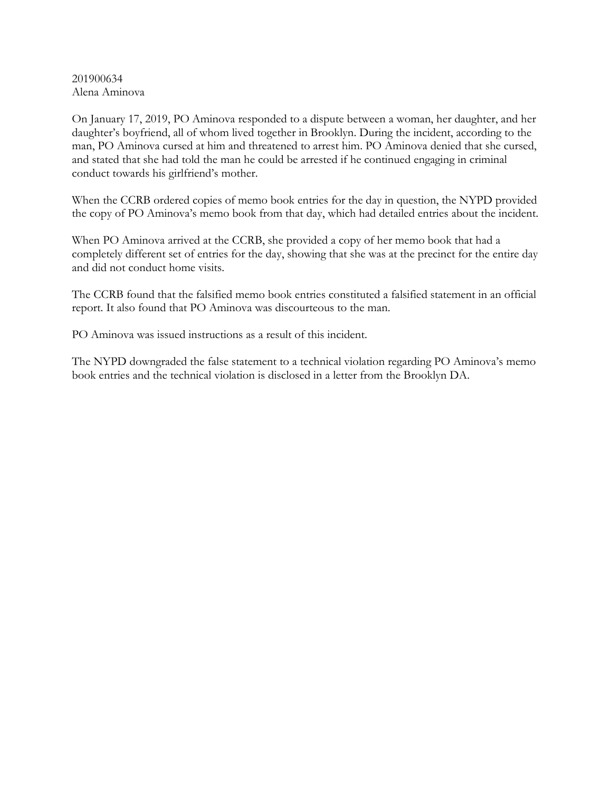201900634 Alena Aminova

On January 17, 2019, PO Aminova responded to a dispute between a woman, her daughter, and her daughter's boyfriend, all of whom lived together in Brooklyn. During the incident, according to the man, PO Aminova cursed at him and threatened to arrest him. PO Aminova denied that she cursed, and stated that she had told the man he could be arrested if he continued engaging in criminal conduct towards his girlfriend's mother.

When the CCRB ordered copies of memo book entries for the day in question, the NYPD provided the copy of PO Aminova's memo book from that day, which had detailed entries about the incident.

When PO Aminova arrived at the CCRB, she provided a copy of her memo book that had a completely different set of entries for the day, showing that she was at the precinct for the entire day and did not conduct home visits.

The CCRB found that the falsified memo book entries constituted a falsified statement in an official report. It also found that PO Aminova was discourteous to the man.

PO Aminova was issued instructions as a result of this incident.

The NYPD downgraded the false statement to a technical violation regarding PO Aminova's memo book entries and the technical violation is disclosed in a letter from the Brooklyn DA.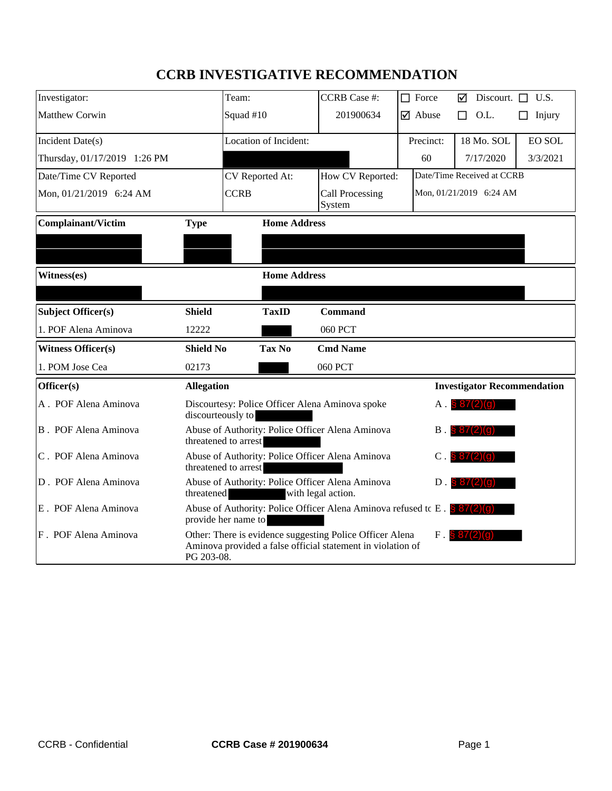# **CCRB INVESTIGATIVE RECOMMENDATION**

| Investigator:                      |                   | Team:                                                                                                                   | <b>CCRB</b> Case #:              |  | $\Box$ Force                  | ⊠                | Discourt.                          | П | U.S.          |
|------------------------------------|-------------------|-------------------------------------------------------------------------------------------------------------------------|----------------------------------|--|-------------------------------|------------------|------------------------------------|---|---------------|
| Matthew Corwin                     |                   | Squad #10                                                                                                               | 201900634                        |  | $\overline{\mathbf{y}}$ Abuse | П                | O.L.                               |   | Injury        |
| Incident Date(s)                   |                   | <b>Location of Incident:</b>                                                                                            |                                  |  | Precinct:                     |                  | 18 Mo. SOL                         |   | <b>EO SOL</b> |
| Thursday, 01/17/2019 1:26 PM       |                   |                                                                                                                         |                                  |  | 60                            |                  | 7/17/2020                          |   | 3/3/2021      |
| Date/Time CV Reported              |                   | CV Reported At:                                                                                                         | How CV Reported:                 |  | Date/Time Received at CCRB    |                  |                                    |   |               |
| Mon, 01/21/2019 6:24 AM            |                   | <b>CCRB</b>                                                                                                             | <b>Call Processing</b><br>System |  | Mon, 01/21/2019 6:24 AM       |                  |                                    |   |               |
| Complainant/Victim                 | <b>Type</b>       | <b>Home Address</b>                                                                                                     |                                  |  |                               |                  |                                    |   |               |
|                                    |                   |                                                                                                                         |                                  |  |                               |                  |                                    |   |               |
|                                    |                   |                                                                                                                         |                                  |  |                               |                  |                                    |   |               |
| Witness(es)<br><b>Home Address</b> |                   |                                                                                                                         |                                  |  |                               |                  |                                    |   |               |
|                                    |                   |                                                                                                                         |                                  |  |                               |                  |                                    |   |               |
| Subject Officer(s)                 | <b>Shield</b>     | <b>TaxID</b>                                                                                                            | <b>Command</b>                   |  |                               |                  |                                    |   |               |
| 1. POF Alena Aminova               | 12222             |                                                                                                                         | <b>060 PCT</b>                   |  |                               |                  |                                    |   |               |
| <b>Witness Officer(s)</b>          | <b>Shield No</b>  | <b>Tax No</b>                                                                                                           | <b>Cmd Name</b>                  |  |                               |                  |                                    |   |               |
| 1. POM Jose Cea                    | 02173             |                                                                                                                         | 060 PCT                          |  |                               |                  |                                    |   |               |
| Officer(s)                         | <b>Allegation</b> |                                                                                                                         |                                  |  |                               |                  | <b>Investigator Recommendation</b> |   |               |
| A. POF Alena Aminova               | discourteously to | Discourtesy: Police Officer Alena Aminova spoke                                                                         |                                  |  | Α.                            | 5 87(2)(a)       |                                    |   |               |
| B. POF Alena Aminova               |                   | Abuse of Authority: Police Officer Alena Aminova<br>threatened to arrest                                                |                                  |  | B                             | 87(2)(0          |                                    |   |               |
| C. POF Alena Aminova               |                   | Abuse of Authority: Police Officer Alena Aminova<br>threatened to arrest                                                |                                  |  | C                             | 8712) (a         |                                    |   |               |
| D. POF Alena Aminova               | threatened        | Abuse of Authority: Police Officer Alena Aminova                                                                        | with legal action.               |  | $D$ .                         | \$ 87(2)         |                                    |   |               |
| E. POF Alena Aminova               |                   | Abuse of Authority: Police Officer Alena Aminova refused to E . $\frac{8}{9}$ 87(2)(9)<br>provide her name to           |                                  |  |                               |                  |                                    |   |               |
| F. POF Alena Aminova               | PG 203-08.        | Other: There is evidence suggesting Police Officer Alena<br>Aminova provided a false official statement in violation of |                                  |  |                               | $F.$ \$ 87(2)(0) |                                    |   |               |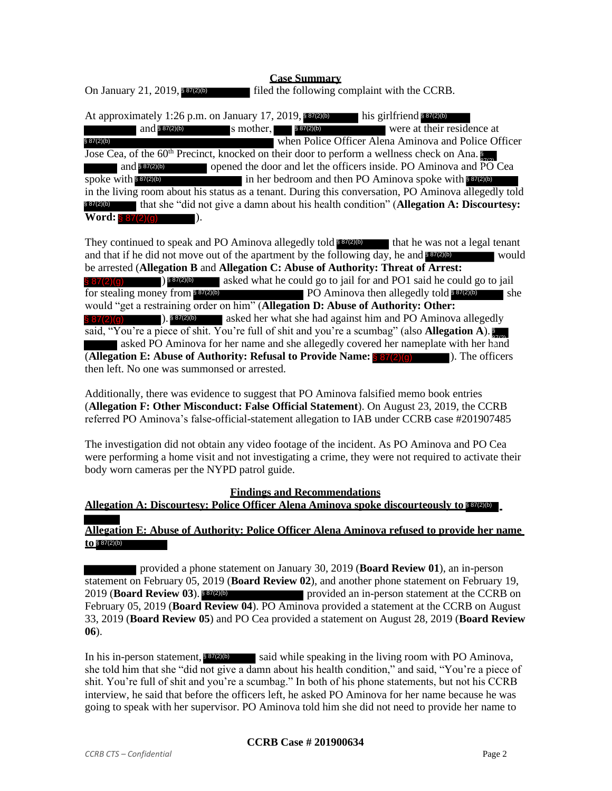## **Case Summary**

 $\blacksquare$  filed the following complaint with the CCRB. On January 21, 2019, § 87(2)(b)

At approximately 1:26 p.m. on January 17, 2019, **197(2)** his girlfriend and  $\frac{\sqrt{887(2)(b)}}{2}$  s mother,  $\frac{\sqrt{887(2)(b)}}{2}$  were at their residence at when Police Officer Alena Aminova and Police Officer Jose Cea, of the 60<sup>th</sup> Precinct, knocked on their door to perform a wellness check on Ana. and 887(2)(b) opened the door and let the officers inside. PO Aminova and PO Cea spoke with \$87(2)(b) in her bedroom and then PO Aminova spoke with \$87(2)(b) in the living room about his status as a tenant. During this conversation, PO Aminova allegedly told that she "did not give a damn about his health condition" (**Allegation A: Discourtesy:**   $Word: \S 87(2)(q)$  ). his girlfriend  $$87(2)(b)$ s mother.  $§ 87(2)(b)$ § 87(2)(b)

They continued to speak and PO Aminova allegedly told 887(2)(b) that he was not a legal tenant and that if he did not move out of the apartment by the following day, he and **\$87(2)(b)** would be arrested (**Allegation B** and **Allegation C: Abuse of Authority: Threat of Arrest:**   $\frac{\sqrt{887(2)}\cdot \sqrt{887(2)}}{887(2)}$  asked what he could go to jail for and PO1 said he could go to jail shows then allegedly told **strate** for stealing money from  $\sqrt{8\pi(2)}$  PO Aminova then allegedly told  $\sqrt{8\pi(2)}$  she would "get a restraining order on him" (**Allegation D: Abuse of Authority: Other: Example 3** asked her what she had against him and PO Aminova allegedly said, "You're a piece of shit. You're full of shit and you're a scumbag" (also **Allegation A**). § asked PO Aminova for her name and she allegedly covered her nameplate with her hand (**Allegation E: Abuse of Authority: Refusal to Provide Name:** ). The officers then left. No one was summonsed or arrested.  $\binom{8}{5}$  87(2)(b) **Example 2011** (**Solution** For the disk of the disk of the disk of the system of the system of the system of the and the system of the system of the system of the system of the system of the system of the system of the sy

Additionally, there was evidence to suggest that PO Aminova falsified memo book entries (**Allegation F: Other Misconduct: False Official Statement**). On August 23, 2019, the CCRB referred PO Aminova's false-official-statement allegation to IAB under CCRB case #201907485

The investigation did not obtain any video footage of the incident. As PO Aminova and PO Cea were performing a home visit and not investigating a crime, they were not required to activate their body worn cameras per the NYPD patrol guide.

#### **Findings and Recommendations**

**Allegation A: Discourtesy: Police Officer Alena Aminova spoke discourteously to**  § 87(2)(b)

## **Allegation E: Abuse of Authority: Police Officer Alena Aminova refused to provide her name to**  § 87(2)(b)

provided a phone statement on January 30, 2019 (**Board Review 01**), an in-person statement on February 05, 2019 (**Board Review 02**), and another phone statement on February 19, 2019 (**Board Review 03**). provided an in-person statement at the CCRB on February 05, 2019 (**Board Review 04**). PO Aminova provided a statement at the CCRB on August 33, 2019 (**Board Review 05**) and PO Cea provided a statement on August 28, 2019 (**Board Review 06**). 2019 (**Board Review 03**). 887(2)(b)

In his in-person statement,  $887(2)$ (b) said while speaking in the living room with PO Aminova, she told him that she "did not give a damn about his health condition," and said, "You're a piece of shit. You're full of shit and you're a scumbag." In both of his phone statements, but not his CCRB interview, he said that before the officers left, he asked PO Aminova for her name because he was going to speak with her supervisor. PO Aminova told him she did not need to provide her name to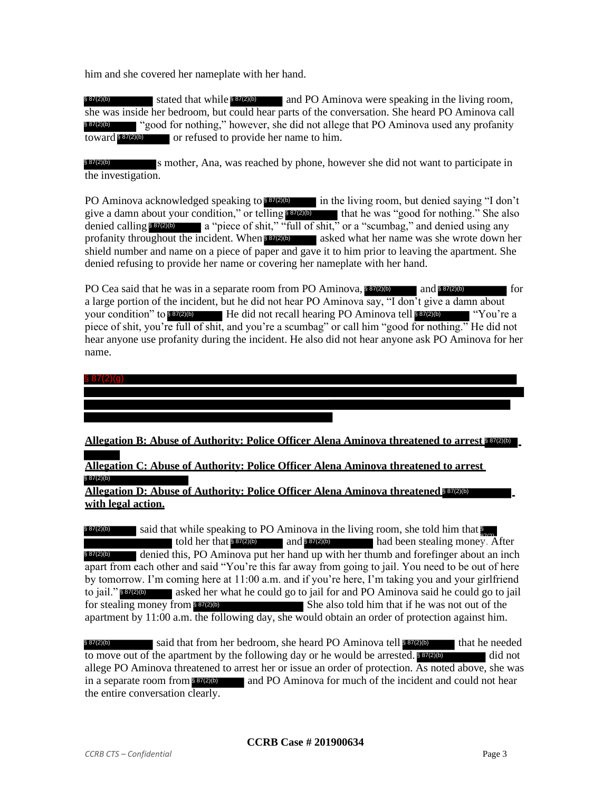him and she covered her nameplate with her hand.

\$87(2)(b) stated that while \$87(2)(b) and PO Aminova were speaking in the living room, she was inside her bedroom, but could hear parts of the conversation. She heard PO Aminova call § 87(2)(b) " "good for nothing," however, she did not allege that PO Aminova used any profanity or refused to provide her name to him. § 87(2)(b)

s mother, Ana, was reached by phone, however she did not want to participate in the investigation. § 87(2)(b)

PO Aminova acknowledged speaking to 887(2)(b) in the living room, but denied saying "I don't give a damn about your condition," or telling 887(2)(b) that he was "good for nothing." She also denied calling \$87(2)(b) a "piece of shit," "full of shit," or a "scumbag," and denied using any profanity throughout the incident. When 887(2)(b) asked what her name was she wrote down her shield number and name on a piece of paper and gave it to him prior to leaving the apartment. She denied refusing to provide her name or covering her nameplate with her hand.

PO Cea said that he was in a separate room from PO Aminova,  $\frac{87}{20}$  and  $\frac{87}{20}$ a large portion of the incident, but he did not hear PO Aminova say, "I don't give a damn about your condition" to \$87(2)(b) He did not recall hearing PO Aminova tell \$87(2)(b) "You're a piece of shit, you're full of shit, and you're a scumbag" or call him "good for nothing." He did not hear anyone use profanity during the incident. He also did not hear anyone ask PO Aminova for her name. and § 87(2)(b)

§ 87(2)(g)

# **Allegation B: Abuse of Authority: Police Officer Alena Aminova threatened to arrest <b>\$57(2)(b)**

**Allegation C: Abuse of Authority: Police Officer Alena Aminova threatened to arrest**  § 87(2)(b)

**Allegation D: Abuse of Authority: Police Officer Alena Aminova threatened <b>887(2)(b) with legal action.**

said that while speaking to PO Aminova in the living room, she told him that told her that  $\frac{867(2)}{6}$  and  $\frac{87(2)}{6}$  and  $\frac{87(2)}{6}$  had been stealing money. After denied this, PO Aminova put her hand up with her thumb and forefinger about an inch apart from each other and said "You're this far away from going to jail. You need to be out of here by tomorrow. I'm coming here at 11:00 a.m. and if you're here, I'm taking you and your girlfriend to jail."<sup>837(2)</sup><sup>b</sup> asked her what he could go to jail for and PO Aminova said he could go to jail for stealing money from \$37(2)(b) She also told him that if he was not out of the apartment by 11:00 a.m. the following day, she would obtain an order of protection against him. § 87(2)(b)  $$87(2)(b)$ 

§ 87(2)(b) said that from her bedroom, she heard PO Aminova tell § 87(2)(b) that he needed to move out of the apartment by the following day or he would be arrested.  $\frac{887(2)6}{100}$  did not allege PO Aminova threatened to arrest her or issue an order of protection. As noted above, she was in a separate room from  $\frac{887(2)}{6}$  and PO Aminova for much of the incident and could not hear the entire conversation clearly.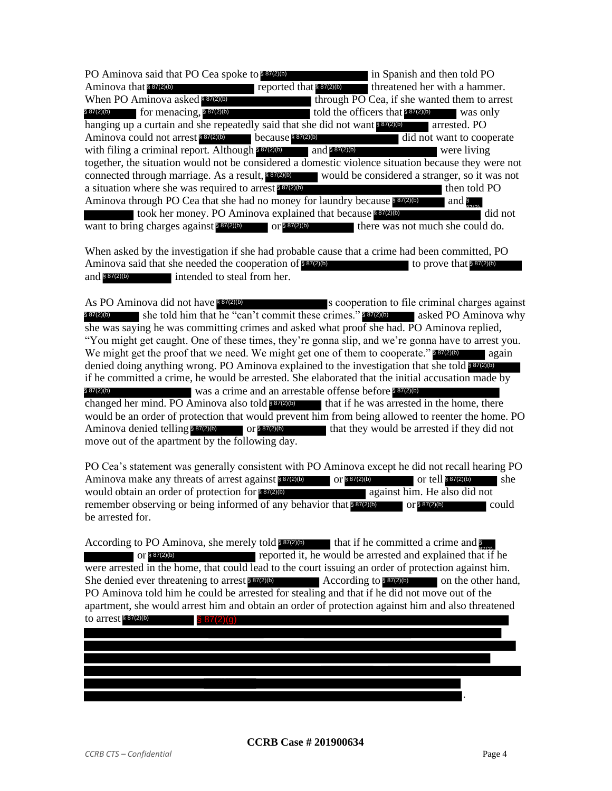| PO Aminova said that PO Cea spoke to \$87(2)(b)                                                     |                           | in Spanish and then told PO                  |              |
|-----------------------------------------------------------------------------------------------------|---------------------------|----------------------------------------------|--------------|
| Aminova that \$87(2)(b)                                                                             | reported that $$87(2)(b)$ | threatened her with a hammer.                |              |
| When PO Aminova asked 887(2)(b)                                                                     |                           | through PO Cea, if she wanted them to arrest |              |
| $$87(2)(b)$ for menacing, $$87(2)(b)$                                                               |                           | told the officers that $$87(2)(b)$           | was only     |
| hanging up a curtain and she repeatedly said that she did not want \$87(2)(b)                       |                           | arrested. PO                                 |              |
| Aminova could not arrest \$87(2)(b) because \$87(2)(b)                                              |                           | did not want to cooperate                    |              |
| with filing a criminal report. Although \$87(2)(b) and \$87(2)(b)                                   |                           | were living                                  |              |
| together, the situation would not be considered a domestic violence situation because they were not |                           |                                              |              |
| connected through marriage. As a result, \$57(2) would be considered a stranger, so it was not      |                           |                                              |              |
| a situation where she was required to arrest 887(2)(b)                                              |                           |                                              | then told PO |
| Aminova through PO Cea that she had no money for laundry because \$87(2)(b)                         |                           | and $\frac{8}{270}$                          |              |
| took her money. PO Aminova explained that because \$87(2)(b)                                        |                           |                                              | did not      |
| want to bring charges against $8\frac{87(2)(b)}{20}$ or $8\frac{87(2)(b)}{20}$                      |                           | there was not much she could do.             |              |

When asked by the investigation if she had probable cause that a crime had been committed, PO Aminova said that she needed the cooperation of  $\frac{887(2)}{6}$ intended to steal from her. to prove that  $§ 87(2)(b)$ § 87(2)(b)

s cooperation to file criminal charges against § 87(2)(b) she told him that he "can't commit these crimes." **\$ 87(2)(b)** asked PO Aminova why she was saying he was committing crimes and asked what proof she had. PO Aminova replied, "You might get caught. One of these times, they're gonna slip, and we're gonna have to arrest you. We might get the proof that we need. We might get one of them to cooperate." 887(2)(b) again denied doing anything wrong. PO Aminova explained to the investigation that she told **\$7720** if he committed a crime, he would be arrested. She elaborated that the initial accusation made by § 87(2)(b) was a crime and an arrestable offense before § 87(2)(b) changed her mind. PO Aminova also told **\$37(2)(b)** that if he was arrested in the home, there would be an order of protection that would prevent him from being allowed to reenter the home. PO Aminova denied telling  $\frac{887(2)(b)}{20}$  or  $\frac{887(2)(b)}{20}$  that they would be arrested if they did not move out of the apartment by the following day. As PO Aminova did not have \$87(2)(b)

PO Cea's statement was generally consistent with PO Aminova except he did not recall hearing PO Aminova make any threats of arrest against  $8\frac{87(2)(b)}{2}$  or  $8\frac{87(2)(b)}{2}$  or tell  $8\frac{87(2)(b)}{2}$  she would obtain an order of protection for 887(2)(b) and against him. He also did not remember observing or being informed of any behavior that  $8\frac{87(2)}{6}$  or  $8\frac{87(2)}{6}$  could be arrested for.

According to PO Aminova, she merely told **807(2)(b)** that if he committed a crime and **§** or  $\frac{1}{887(2)(b)}$  is reported it, he would be arrested and explained that if he were arrested in the home, that could lead to the court issuing an order of protection against him. She denied ever threatening to arrest 872% According to 872% on the other hand, PO Aminova told him he could be arrested for stealing and that if he did not move out of the apartment, she would arrest him and obtain an order of protection against him and also threatened to arrest § 87(2)(b) According to \$87(2)(b) § 87(2)(g)

.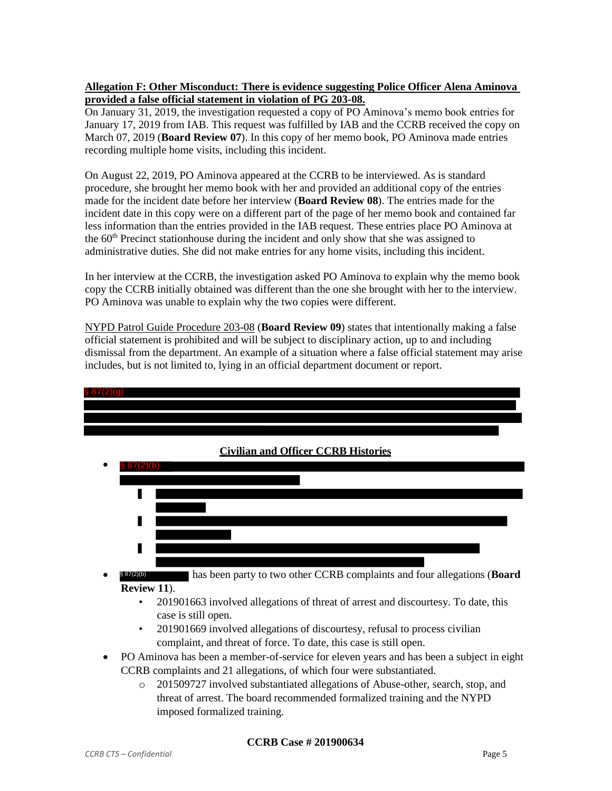## **Allegation F: Other Misconduct: There is evidence suggesting Police Officer Alena Aminova provided a false official statement in violation of PG 203-08.**

On January 31, 2019, the investigation requested a copy of PO Aminova's memo book entries for January 17, 2019 from IAB. This request was fulfilled by IAB and the CCRB received the copy on March 07, 2019 (**Board Review 07**). In this copy of her memo book, PO Aminova made entries recording multiple home visits, including this incident.

On August 22, 2019, PO Aminova appeared at the CCRB to be interviewed. As is standard procedure, she brought her memo book with her and provided an additional copy of the entries made for the incident date before her interview (**Board Review 08**). The entries made for the incident date in this copy were on a different part of the page of her memo book and contained far less information than the entries provided in the IAB request. These entries place PO Aminova at the  $60<sup>th</sup>$  Precinct stationhouse during the incident and only show that she was assigned to administrative duties. She did not make entries for any home visits, including this incident.

In her interview at the CCRB, the investigation asked PO Aminova to explain why the memo book copy the CCRB initially obtained was different than the one she brought with her to the interview. PO Aminova was unable to explain why the two copies were different.

NYPD Patrol Guide Procedure 203-08 (**Board Review 09**) states that intentionally making a false official statement is prohibited and will be subject to disciplinary action, up to and including dismissal from the department. An example of a situation where a false official statement may arise includes, but is not limited to, lying in an official department document or report.



- 201901669 involved allegations of discourtesy, refusal to process civilian complaint, and threat of force. To date, this case is still open.
- PO Aminova has been a member-of-service for eleven years and has been a subject in eight CCRB complaints and 21 allegations, of which four were substantiated.
	- o 201509727 involved substantiated allegations of Abuse-other, search, stop, and threat of arrest. The board recommended formalized training and the NYPD imposed formalized training.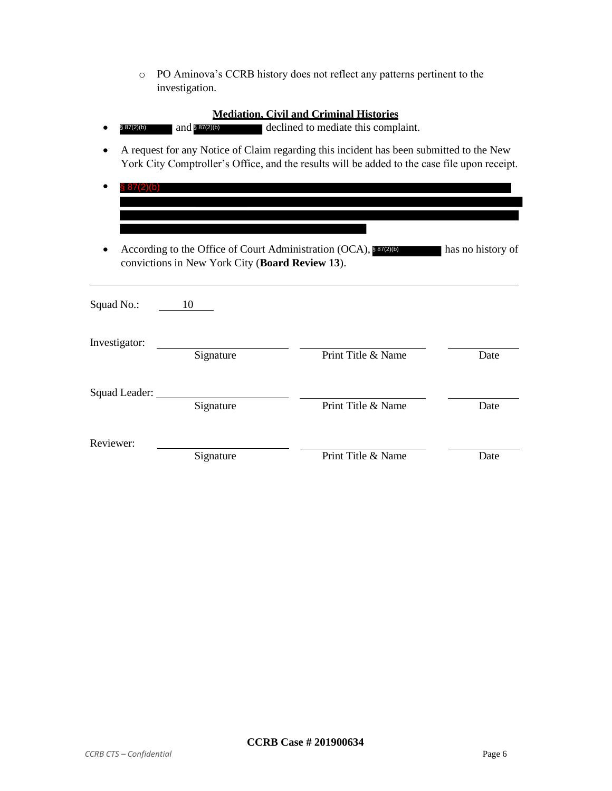o PO Aminova's CCRB history does not reflect any patterns pertinent to the investigation.

- $$87(2)(b)$  and  $$87(2)(b)$  declined to mediate this complaint.
- A request for any Notice of Claim regarding this incident has been submitted to the New York City Comptroller's Office, and the results will be added to the case file upon receipt.
- § 87(2)(b)
- According to the Office of Court Administration (OCA), **887(2)(b)** has no history of convictions in New York City (**Board Review 13**).

| Squad No.:    | 10        |                    |      |
|---------------|-----------|--------------------|------|
| Investigator: | Signature | Print Title & Name | Date |
| Squad Leader: | Signature | Print Title & Name | Date |
| Reviewer:     | Signature | Print Title & Name | Date |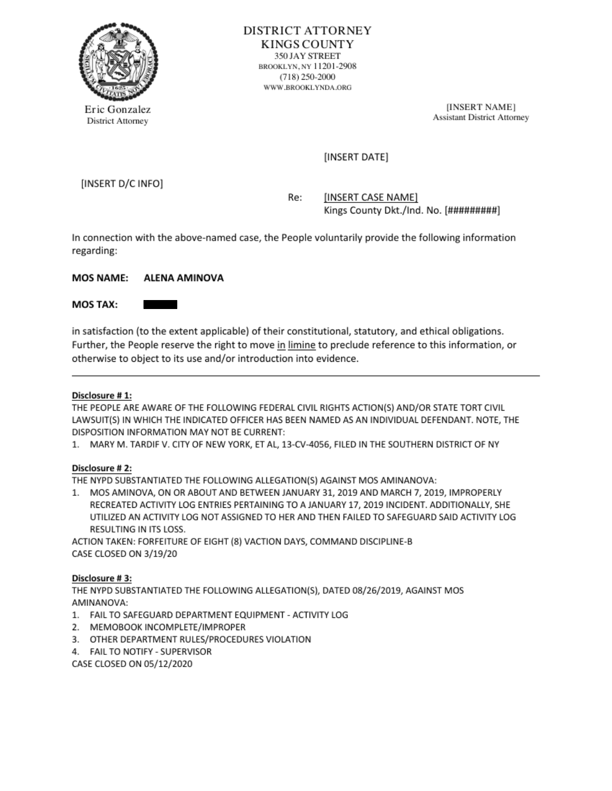

DISTRICT ATTORNEY **KINGS COUNTY**<br>350 JAY STREET  $\begin{array}{c} \text{RINR} \left( \text{C} \right) \left( \text{C} \right) \left( \text{C} \right) \left( \text{C} \right) \left( \text{C} \right) \left( \text{C} \right) \left( \text{C} \right) \left( \text{C} \right) \left( \text{C} \right) \left( \text{C} \right) \left( \text{C} \right) \left( \text{C} \right) \left( \text{C} \right) \left( \text{C} \right) \left( \text{C} \right) \left( \text{C} \right) \left( \text{C} \right) \left( \text{C} \right) \left( \text{C}$ WWW.BROOKLYNDA.ORG

Eric Gonzalez [INSERT NAME]<br>
Eric Gonzalez [INSERT NAME]

## (INSERT DATE]

(INSERT O/C INFO]

Re: [INSERT CASE NAME] Kings County Dkt./Ind. No. [#########]

In connection with the above-named case, the People voluntarily provide the following information regarding:

## MOS NAME: ALENA AMINOVA

#### **MOS TAX:**

in satisfaction (to the extent applicable) of their constitutional, statutory, andethical obligations. Further, the People reserve the right to move in limine to preclude reference to this information, or otherwise to object to its use and/or introduction into evidence.

#### Disclosure #1:

'THE PEOPLE ARE AWARE OF THE FOLLOWING FEDERAL CIVIL RIGHTS ACTION(S) AND/OR STATE TORT CIVIL LAWSUIT(S) IN WHICH THE INDICATED OFFICER HAS BEEN NAMED AS AN INDIVIDUAL DEFENDANT. NOTE, THE DISPOSITION INFORMATION MAY NOT BE CURRENT:

1. MARY M. TARDIF V. CITY OF NEW YORK, ET AL, 13-CV-4056, FILED IN THE SOUTHERN DISTRICT OF NY

## Disclosure #2:

THE NYPD SUBSTANTIATED THE FOLLOWING ALLEGATION(S) AGAINST MOS AMINANOVA:

1. MOS AMINOVA, ON OR ABOUT AND BETWEEN JANUARY 31, 2019 AND MARCH 7, 2019, IMPROPERLY RECREATED ACTIVITY LOG ENTRIES PERTAINING TO A JANUARY 17, 2018 INCIDENT. ADDITIONALLY, SHE UTILZED AN ACTIVITY LOG NOT ASSIGNED TO HER AND THEN FAILED TO SAFEGUARD SAID ACTIVITY LOG RESULTING IN ITS LOSS.

ACTION TAKEN: FORFEITURE OF EIGHT (8) VACTION DAYS, COMMAND DISCIPUNE-8 CASE CLOSED ON 3/19/20

## Disclosure #3:

THE NYPD SUBSTANTIATED THE FOLLOWING ALLEGATION(S), DATED 08/26/2019, AGAINST MOS. AMINANOVA:

- 1." FAILTO SAFEGUARD DEPARTMENT EQUIPMENT ACTIVITY LOG
- 2. MEMOBOOK INCOMPLETE/IMPROPER
- 3. OTHER DEPARTMENT RULES/PROCEDURES VIOLATION
- 4. FAILTO NOTIFY SUPERVISOR

CASE CLOSED ON 05/12/2020